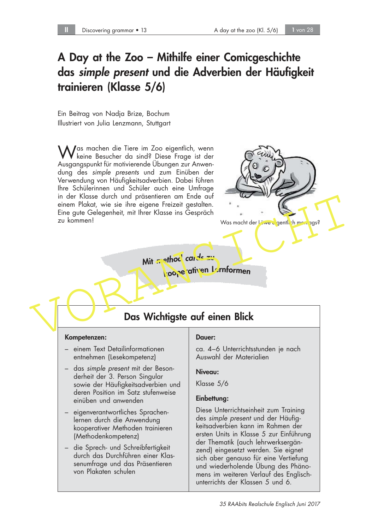## A Day at the Zoo – Mithilfe einer Comicgeschichte das simple present und die Adverbien der Häufigkeit trainieren (Klasse 5/6)

Ein Beitrag von Nadja Brize, Bochum Illustriert von Julia Lenzmann, Stuttgart

Was machen die Tiere im Zoo eigentlich, wenn keine Besucher da sind? Diese Frage ist der Ausgangspunkt für motivierende Übungen zur Anwendung des simple presents und zum Einüben der Verwendung von Häufigkeitsadverbien. Dabei führen Ihre Schülerinnen und Schüler auch eine Umfrage in der Klasse durch und präsentieren am Ende auf einem Plakat, wie sie ihre eigene Freizeit gestalten. Eine gute Gelegenheit, mit Ihrer Klasse ins Gespräch zu kommen!



Mit method cards zu kooperativen Lernformen

# Das Wichtigste auf einen Blick

### Kompetenzen:

- einem Text Detailinformationen entnehmen (Lesekompetenz)
- das simple present mit der Besonderheit der 3. Person Singular sowie der Häufigkeitsadverbien und deren Position im Satz stufenweise einüben und anwenden
- eigenverantwortliches Sprachenlernen durch die Anwendung kooperativer Methoden trainieren (Methodenkompetenz)
- die Sprech- und Schreibfertigkeit durch das Durchführen einer Klassenumfrage und das Präsentieren von Plakaten schulen

### Dauer:

ca. 4–6 Unterrichtsstunden je nach Auswahl der Materialien

### Niveau:

Klasse 5/6

### Einbettung:

Diese Unterrichtseinheit zum Training des simple present und der Häufigkeitsadverbien kann im Rahmen der ersten Units in Klasse 5 zur Einführung der Thematik (auch lehrwerksergänzend) eingesetzt werden. Sie eignet sich aber genauso für eine Vertiefung und wiederholende Übung des Phänomens im weiteren Verlauf des Englischunterrichts der Klassen 5 und 6.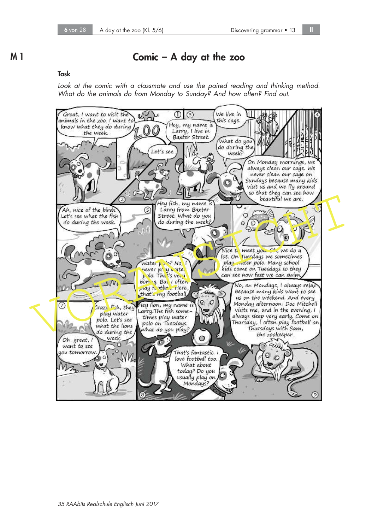### M 1 Comic – A day at the zoo

### Task

Look at the comic with a classmate and use the paired reading and thinking method. What do the animals do from Monday to Sunday? And how often? Find out.

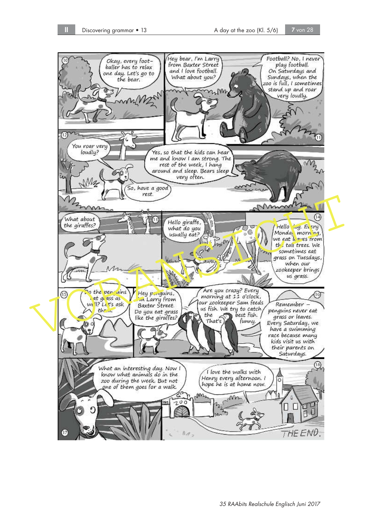THE END

35 RAAbits Realschule Englisch Juni 2017



(17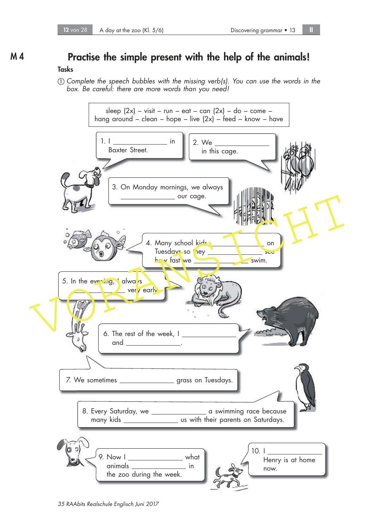# M 4 Practise the simple present with the help of the animals!

### Tasks

 $\Omega$  Complete the speech bubbles with the missing verb(s). You can use the words in the box. Be careful: there are more words than you need!